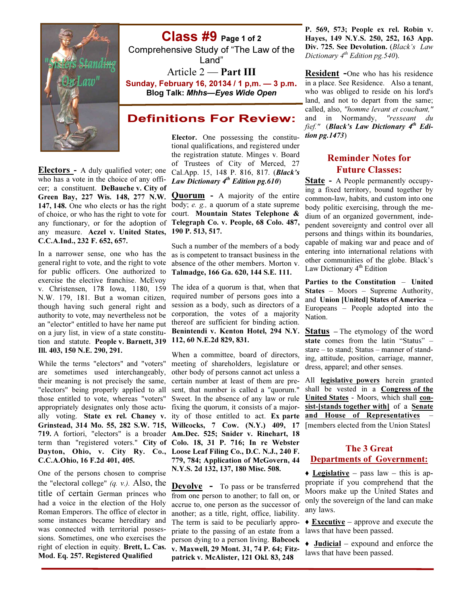

Electors - A duly qualified voter; one who has a vote in the choice of any offi- Law Dictionary  $4^{th}$  Edition pg.610) cer; a constituent. DeBauche v. City of Green Bay, 227 Wis. 148, 277 N.W. any measure. Aczel v. United States, C.C.A.Ind., 232 F. 652, 657.

In a narrower sense, one who has the general right to vote, and the right to vote for public officers. One authorized to exercise the elective franchise. McEvoy v. Christensen, 178 Iowa, 1180, 159 N.W. 179, 181. But a woman citizen, though having such general right and authority to vote, may nevertheless not be an "elector" entitled to have her name put thereof are sufficient for binding action. on a jury list, in view of a state constitution and statute. People v. Barnett, 319 112, 60 N.E.2d 829, 831. Ill. 403, 150 N.E. 290, 291.

While the terms "electors" and "voters" are sometimes used interchangeably, other body of persons cannot act unless a their meaning is not precisely the same, certain number at least of them are pre-"electors" being properly applied to all sent, that number is called a "quorum." those entitled to vote, whereas "voters" Sweet. In the absence of any law or rule appropriately designates only those actu-fixing the quorum, it consists of a majorally voting. State ex rel. Chaney v. ity of those entitled to act. Ex parte Grinstead, 314 Mo. 55, 282 S.W. 715, Willcocks, 7 Cow. (N.Y.) 409, 17 719. A fortiori, "electors" is a broader Am.Dec. 525; Snider v. Rinehart, 18 term than "registered voters." City of Colo. 18, 31 P. 716; In re Webster Dayton, Ohio, v. City Ry. Co., Loose Leaf Filing Co., D.C. N.J., 240 F. C.C.A.Ohio, 16 F.2d 401, 405.

One of the persons chosen to comprise the "electoral college"  $(a, v)$ . Also, the title of certain German princes who had a voice in the election of the Holy Roman Emperors. The office of elector in some instances became hereditary and was connected with territorial possessions. Sometimes, one who exercises the right of election in equity. Brett, L. Cas. Mod. Eq. 257. Registered Qualified

# Class #9 Page 1 of 2

Comprehensive Study of "The Law of the Land"

## Article 2 — **Part III**

Sunday, February 16, 20134 / 1 p,m. — 3 p.m. Blog Talk: Mhhs—Eyes Wide Open

## **Definitions For Review:**

Elector. One possessing the constitutional qualifications, and registered under the registration statute. Minges v. Board of Trustees of City of Merced, 27 Cal.App. 15, 148 P. 816, 817. (Black's

147, 148. One who elects or has the right body; e. g., a quorum of a state supreme of choice, or who has the right to vote for court. Mountain States Telephone  $\&$ any functionary, or for the adoption of Telegraph Co. v. People, 68 Colo. 487, **Quorum** - A majority of the entire 190 P. 513, 517.

> Such a number of the members of a body as is competent to transact business in the absence of the other members. Morton v. Talmadge, 166 Ga. 620, 144 S.E. 111.

The idea of a quorum is that, when that required number of persons goes into a session as a body, such as directors of a corporation, the votes of a majority Benintendi v. Kenton Hotel, 294 N.Y.

When a committee, board of directors, meeting of shareholders, legislature or 779, 784; Application of McGovern, 44 N.Y.S. 2d 132, 137, 180 Misc. 508.

**Devolve** - To pass or be transferred from one person to another; to fall on, or accrue to, one person as the successor of another; as a title, right, office, liability. The term is said to be peculiarly appropriate to the passing of an estate from a person dying to a person living. Babcock v. Maxwell, 29 Mont. 31, 74 P. 64; Fitzpatrick v. McAlister, 121 Okl. 83, 248

P. 569, 573; People ex rel. Robin v. Hayes, 149 N.Y.S. 250, 252, 163 App. Div. 725. See Devolution. (Black's Law Dictionary  $4^{th}$  Edition pg. 540).

Resident -One who has his residence in a place. See Residence. Also a tenant, who was obliged to reside on his lord's land, and not to depart from the same; called, also, "homme levant et couchant," and in Normandy, "resseant du fief." (Black's Law Dictionary  $4^{th}$  Edition pg.1473)

### Reminder Notes for Future Classes:

State - A People permanently occupying a fixed territory, bound together by common-law, habits, and custom into one body politic exercising, through the medium of an organized government, independent sovereignty and control over all persons and things within its boundaries, capable of making war and peace and of entering into international relations with other communities of the globe. Black's Law Dictionary  $4<sup>th</sup>$  Edition

Parties to the Constitution – United States – Moors – Supreme Authority, and Union [United] States of America – Europeans – People adopted into the Nation.

Status – The etymology of the word state comes from the latin "Status" – stare – to stand; Status – manner of standing, attitude, position, carriage, manner, dress, apparel; and other senses.

All legislative powers herein granted shall be vested in a **Congress of the** United States - Moors, which shall consist-[stands together with] of a Senate and House of Representatives [members elected from the Union States]

### The 3 Great Departments of Government:

 $\triangle$  Legislative – pass law – this is appropriate if you comprehend that the Moors make up the United States and only the sovereign of the land can make any laws.

 $\triangle$  **Executive** – approve and execute the laws that have been passed.

 $\triangleleft$  Judicial – expound and enforce the laws that have been passed.